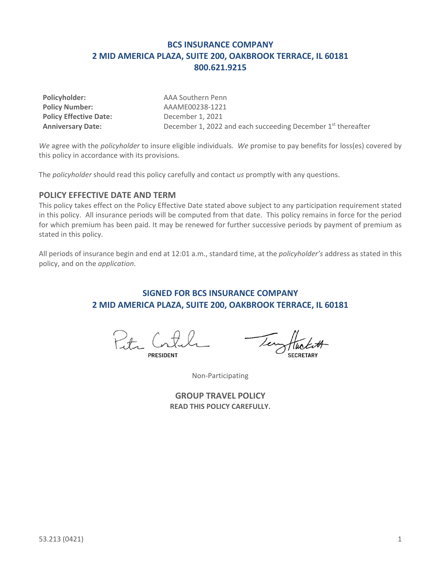## **BCS INSURANCE COMPANY 2 MID AMERICA PLAZA, SUITE 200, OAKBROOK TERRACE, IL 60181 800.621.9215**

| Policyholder:                 |
|-------------------------------|
| <b>Policy Number:</b>         |
| <b>Policy Effective Date:</b> |
| <b>Anniversary Date:</b>      |

**Policyholder:** AAA Southern Penn **Policy Number:** AAAME00238-1221 **Policy Effective Date:** December 1, 2021 December 1, 2022 and each succeeding December 1<sup>st</sup> thereafter

*We* agree with the *policyholder* to insure eligible individuals. *We* promise to pay benefits for loss(es) covered by this policy in accordance with its provisions.

The *policyholder* should read this policy carefully and contact *us* promptly with any questions.

### **POLICY EFFECTIVE DATE AND TERM**

This policy takes effect on the Policy Effective Date stated above subject to any participation requirement stated in this policy. All insurance periods will be computed from that date. This policy remains in force for the period for which premium has been paid. It may be renewed for further successive periods by payment of premium as stated in this policy.

All periods of insurance begin and end at 12:01 a.m., standard time, at the *policyholder's* address as stated in this policy, and on the *application*.

## **SIGNED FOR BCS INSURANCE COMPANY 2 MID AMERICA PLAZA, SUITE 200, OAKBROOK TERRACE, IL 60181**

Petr Co

Non-Participating

**GROUP TRAVEL POLICY READ THIS POLICY CAREFULLY.**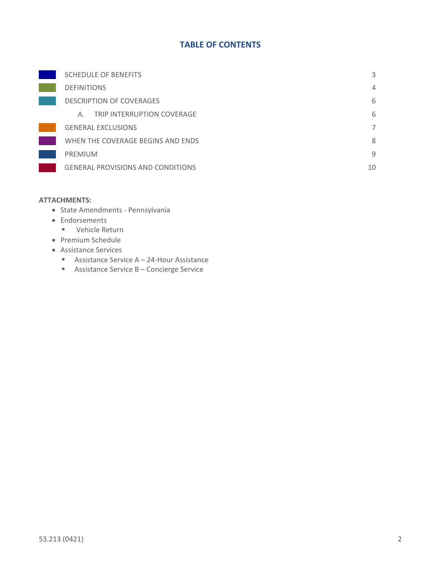## **TABLE OF CONTENTS**

| <b>SCHEDULE OF BENEFITS</b>              | 3  |
|------------------------------------------|----|
| <b>DEFINITIONS</b>                       | 4  |
| <b>DESCRIPTION OF COVERAGES</b>          | 6  |
| TRIP INTERRUPTION COVERAGE<br>А.         | 6  |
| <b>GENERAL EXCLUSIONS</b>                | 7  |
| WHEN THE COVERAGE BEGINS AND ENDS        | 8  |
| <b>PREMIUM</b>                           | 9  |
| <b>GENERAL PROVISIONS AND CONDITIONS</b> | 10 |

#### **ATTACHMENTS:**

- State Amendments Pennsylvania
- Endorsements
	- Vehicle Return
- Premium Schedule
- Assistance Services
	- Assistance Service A 24-Hour Assistance
	- Assistance Service B Concierge Service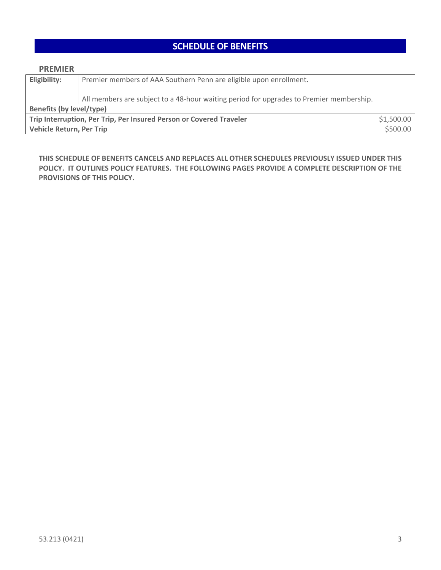# **SCHEDULE OF BENEFITS**

<span id="page-2-0"></span>

| <b>PREMIER</b>                                                                    |                                                                                         |  |  |
|-----------------------------------------------------------------------------------|-----------------------------------------------------------------------------------------|--|--|
| Eligibility:                                                                      | Premier members of AAA Southern Penn are eligible upon enrollment.                      |  |  |
|                                                                                   | All members are subject to a 48-hour waiting period for upgrades to Premier membership. |  |  |
| <b>Benefits (by level/type)</b>                                                   |                                                                                         |  |  |
| \$1,500.00<br>Trip Interruption, Per Trip, Per Insured Person or Covered Traveler |                                                                                         |  |  |
| \$500.00<br><b>Vehicle Return, Per Trip</b>                                       |                                                                                         |  |  |

**THIS SCHEDULE OF BENEFITS CANCELS AND REPLACES ALL OTHER SCHEDULES PREVIOUSLY ISSUED UNDER THIS POLICY. IT OUTLINES POLICY FEATURES. THE FOLLOWING PAGES PROVIDE A COMPLETE DESCRIPTION OF THE PROVISIONS OF THIS POLICY.**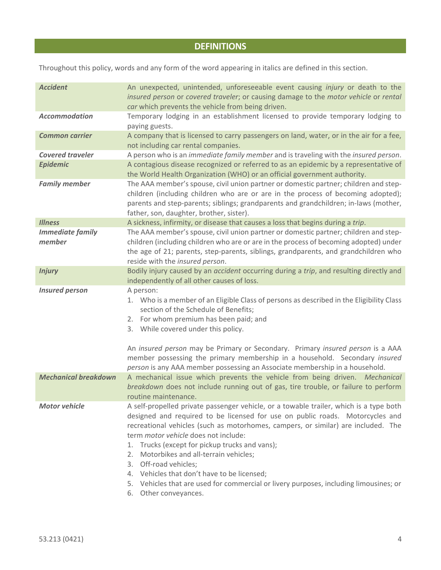# **DEFINITIONS**

<span id="page-3-0"></span>Throughout this policy, words and any form of the word appearing in italics are defined in this section.

| <b>Accident</b>                   | An unexpected, unintended, unforeseeable event causing injury or death to the<br>insured person or covered traveler; or causing damage to the motor vehicle or rental<br>car which prevents the vehicle from being driven.                                                                                                                                                                                                                                                                                                                                                                           |
|-----------------------------------|------------------------------------------------------------------------------------------------------------------------------------------------------------------------------------------------------------------------------------------------------------------------------------------------------------------------------------------------------------------------------------------------------------------------------------------------------------------------------------------------------------------------------------------------------------------------------------------------------|
| <b>Accommodation</b>              | Temporary lodging in an establishment licensed to provide temporary lodging to<br>paying guests.                                                                                                                                                                                                                                                                                                                                                                                                                                                                                                     |
| <b>Common carrier</b>             | A company that is licensed to carry passengers on land, water, or in the air for a fee,<br>not including car rental companies.                                                                                                                                                                                                                                                                                                                                                                                                                                                                       |
| <b>Covered traveler</b>           | A person who is an immediate family member and is traveling with the insured person.                                                                                                                                                                                                                                                                                                                                                                                                                                                                                                                 |
| <b>Epidemic</b>                   | A contagious disease recognized or referred to as an epidemic by a representative of<br>the World Health Organization (WHO) or an official government authority.                                                                                                                                                                                                                                                                                                                                                                                                                                     |
| <b>Family member</b>              | The AAA member's spouse, civil union partner or domestic partner; children and step-<br>children (including children who are or are in the process of becoming adopted);<br>parents and step-parents; siblings; grandparents and grandchildren; in-laws (mother,<br>father, son, daughter, brother, sister).                                                                                                                                                                                                                                                                                         |
| <b>Illness</b>                    | A sickness, infirmity, or disease that causes a loss that begins during a trip.                                                                                                                                                                                                                                                                                                                                                                                                                                                                                                                      |
| <b>Immediate family</b><br>member | The AAA member's spouse, civil union partner or domestic partner; children and step-<br>children (including children who are or are in the process of becoming adopted) under<br>the age of 21; parents, step-parents, siblings, grandparents, and grandchildren who<br>reside with the insured person.                                                                                                                                                                                                                                                                                              |
| <b>Injury</b>                     | Bodily injury caused by an accident occurring during a trip, and resulting directly and<br>independently of all other causes of loss.                                                                                                                                                                                                                                                                                                                                                                                                                                                                |
| <b>Insured person</b>             | A person:<br>1. Who is a member of an Eligible Class of persons as described in the Eligibility Class<br>section of the Schedule of Benefits;<br>2. For whom premium has been paid; and<br>3. While covered under this policy.<br>An insured person may be Primary or Secondary. Primary insured person is a AAA<br>member possessing the primary membership in a household. Secondary insured                                                                                                                                                                                                       |
| <b>Mechanical breakdown</b>       | person is any AAA member possessing an Associate membership in a household.<br>A mechanical issue which prevents the vehicle from being driven. Mechanical<br>breakdown does not include running out of gas, tire trouble, or failure to perform<br>routine maintenance.                                                                                                                                                                                                                                                                                                                             |
| <b>Motor vehicle</b>              | A self-propelled private passenger vehicle, or a towable trailer, which is a type both<br>designed and required to be licensed for use on public roads. Motorcycles and<br>recreational vehicles (such as motorhomes, campers, or similar) are included. The<br>term motor vehicle does not include:<br>Trucks (except for pickup trucks and vans);<br>1.<br>Motorbikes and all-terrain vehicles;<br>2.<br>3. Off-road vehicles;<br>4. Vehicles that don't have to be licensed;<br>Vehicles that are used for commercial or livery purposes, including limousines; or<br>5.<br>6. Other conveyances. |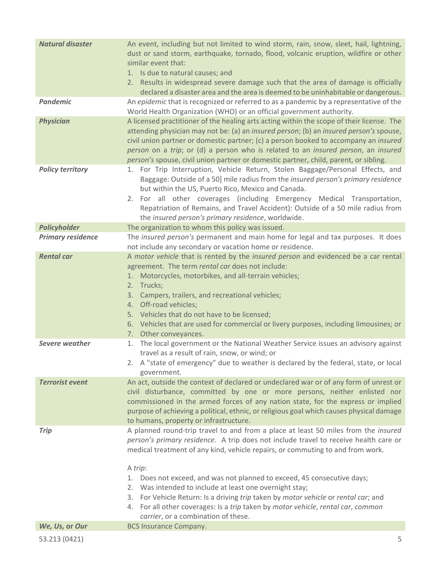| <b>Natural disaster</b>  | An event, including but not limited to wind storm, rain, snow, sleet, hail, lightning,<br>dust or sand storm, earthquake, tornado, flood, volcanic eruption, wildfire or other<br>similar event that:<br>1. Is due to natural causes; and<br>2. Results in widespread severe damage such that the area of damage is officially<br>declared a disaster area and the area is deemed to be uninhabitable or dangerous.                                                                                                                                                                                                            |
|--------------------------|--------------------------------------------------------------------------------------------------------------------------------------------------------------------------------------------------------------------------------------------------------------------------------------------------------------------------------------------------------------------------------------------------------------------------------------------------------------------------------------------------------------------------------------------------------------------------------------------------------------------------------|
| <b>Pandemic</b>          | An epidemic that is recognized or referred to as a pandemic by a representative of the<br>World Health Organization (WHO) or an official government authority.                                                                                                                                                                                                                                                                                                                                                                                                                                                                 |
| <b>Physician</b>         | A licensed practitioner of the healing arts acting within the scope of their license. The<br>attending physician may not be: (a) an insured person; (b) an insured person's spouse,<br>civil union partner or domestic partner; (c) a person booked to accompany an insured<br>person on a trip; or (d) a person who is related to an insured person, an insured<br>person's spouse, civil union partner or domestic partner, child, parent, or sibling.                                                                                                                                                                       |
| <b>Policy territory</b>  | 1. For Trip Interruption, Vehicle Return, Stolen Baggage/Personal Effects, and<br>Baggage: Outside of a 50] mile radius from the insured person's primary residence<br>but within the US, Puerto Rico, Mexico and Canada.<br>2. For all other coverages (including Emergency Medical Transportation,<br>Repatriation of Remains, and Travel Accident): Outside of a 50 mile radius from<br>the insured person's primary residence, worldwide.                                                                                                                                                                                  |
| <b>Policyholder</b>      | The organization to whom this policy was issued.                                                                                                                                                                                                                                                                                                                                                                                                                                                                                                                                                                               |
| <b>Primary residence</b> | The insured person's permanent and main home for legal and tax purposes. It does<br>not include any secondary or vacation home or residence.                                                                                                                                                                                                                                                                                                                                                                                                                                                                                   |
| <b>Rental car</b>        | A motor vehicle that is rented by the insured person and evidenced be a car rental<br>agreement. The term rental car does not include:<br>1. Motorcycles, motorbikes, and all-terrain vehicles;<br>2. Trucks;<br>3. Campers, trailers, and recreational vehicles;<br>4. Off-road vehicles;<br>5. Vehicles that do not have to be licensed;<br>6. Vehicles that are used for commercial or livery purposes, including limousines; or<br>7. Other conveyances.                                                                                                                                                                   |
| Severe weather           | The local government or the National Weather Service issues an advisory against<br>1.<br>travel as a result of rain, snow, or wind; or<br>2. A "state of emergency" due to weather is declared by the federal, state, or local<br>government.                                                                                                                                                                                                                                                                                                                                                                                  |
| <b>Terrorist event</b>   | An act, outside the context of declared or undeclared war or of any form of unrest or<br>civil disturbance, committed by one or more persons, neither enlisted nor<br>commissioned in the armed forces of any nation state, for the express or implied<br>purpose of achieving a political, ethnic, or religious goal which causes physical damage<br>to humans, property or infrastructure.                                                                                                                                                                                                                                   |
| <b>Trip</b>              | A planned round-trip travel to and from a place at least 50 miles from the insured<br>person's primary residence. A trip does not include travel to receive health care or<br>medical treatment of any kind, vehicle repairs, or commuting to and from work.<br>A trip:<br>1. Does not exceed, and was not planned to exceed, 45 consecutive days;<br>2. Was intended to include at least one overnight stay;<br>3. For Vehicle Return: Is a driving trip taken by motor vehicle or rental car; and<br>4. For all other coverages: Is a trip taken by motor vehicle, rental car, common<br>carrier, or a combination of these. |
| We, Us, or Our           | <b>BCS Insurance Company.</b>                                                                                                                                                                                                                                                                                                                                                                                                                                                                                                                                                                                                  |
| 53.213 (0421)            | 5                                                                                                                                                                                                                                                                                                                                                                                                                                                                                                                                                                                                                              |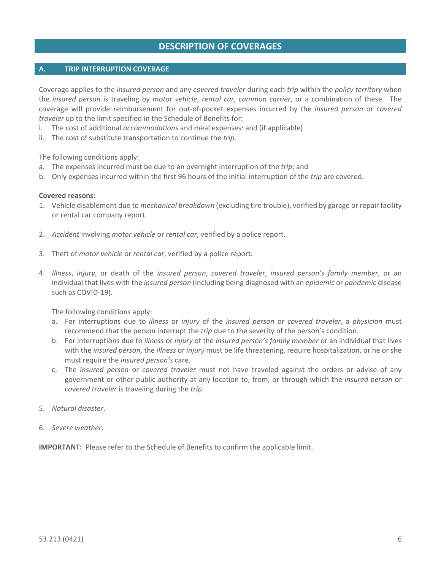## **DESCRIPTION OF COVERAGES**

#### <span id="page-5-1"></span><span id="page-5-0"></span>**A. TRIP INTERRUPTION COVERAGE**

Coverage applies to the *insured person* and any *covered traveler* during each *trip* within the *policy territory* when the *insured person* is traveling by *motor vehicle*, *rental car*, *common carrier*, or a combination of these. The coverage will provide reimbursement for out-of-pocket expenses incurred by the *insured person* or *covered traveler* up to the limit specified in the Schedule of Benefits for:

- i. The cost of additional *accommodations* and meal expenses: and (if applicable)
- ii. The cost of substitute transportation to continue the *trip*.

The following conditions apply:

- a. The expenses incurred must be due to an overnight interruption of the *trip*; and
- b. Only expenses incurred within the first 96 hours of the initial interruption of the *trip* are covered.

#### **Covered reasons:**

- 1. Vehicle disablement due to *mechanical breakdown* (excluding tire trouble), verified by garage or repair facility or rental car company report.
- 2. *Accident* involving *motor vehicle* or *rental car*, verified by a police report.
- 3. Theft of *motor vehicle* or *rental car*, verified by a police report.
- 4. *Illness*, *injury*, or death of the *insured person*, *covered traveler*, *insured person's family member*, or an individual that lives with the *insured person* (including being diagnosed with an *epidemic* or *pandemic* disease such as COVID-19).

The following conditions apply:

- a. For interruptions due to *illness* or *injury* of the *insured person* or *covered traveler*, a *physician* must recommend that the person interrupt the *trip* due to the severity of the person's condition.
- b. For interruptions due to *illness* or *injury* of the *insured person's family member* or an individual that lives with the *insured person*, the *illness* or *injury* must be life threatening, require hospitalization, or he or she must require the *insured person's* care.
- c. The *insured person* or *covered traveler* must not have traveled against the orders or advise of any government or other public authority at any location to, from, or through which the *insured person* or *covered traveler* is traveling during the *trip*.
- 5. *Natural disaster*.
- 6. *Severe weather*.

**IMPORTANT:** Please refer to the Schedule of Benefits to confirm the applicable limit.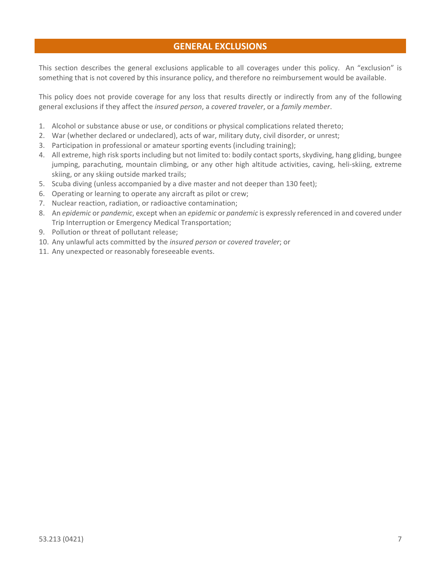## **GENERAL EXCLUSIONS**

<span id="page-6-0"></span>This section describes the general exclusions applicable to all coverages under this policy. An "exclusion" is something that is not covered by this insurance policy, and therefore no reimbursement would be available.

This policy does not provide coverage for any loss that results directly or indirectly from any of the following general exclusions if they affect the *insured person*, a *covered traveler*, or a *family member*.

- 1. Alcohol or substance abuse or use, or conditions or physical complications related thereto;
- 2. War (whether declared or undeclared), acts of war, military duty, civil disorder, or unrest;
- 3. Participation in professional or amateur sporting events (including training);
- 4. All extreme, high risk sports including but not limited to: bodily contact sports, skydiving, hang gliding, bungee jumping, parachuting, mountain climbing, or any other high altitude activities, caving, heli-skiing, extreme skiing, or any skiing outside marked trails;
- 5. Scuba diving (unless accompanied by a dive master and not deeper than 130 feet);
- 6. Operating or learning to operate any aircraft as pilot or crew;
- 7. Nuclear reaction, radiation, or radioactive contamination;
- 8. An *epidemic* or *pandemic*, except when an *epidemic* or *pandemic* is expressly referenced in and covered under Trip Interruption or Emergency Medical Transportation;
- 9. Pollution or threat of pollutant release;
- 10. Any unlawful acts committed by the *insured person* or *covered traveler*; or
- 11. Any unexpected or reasonably foreseeable events.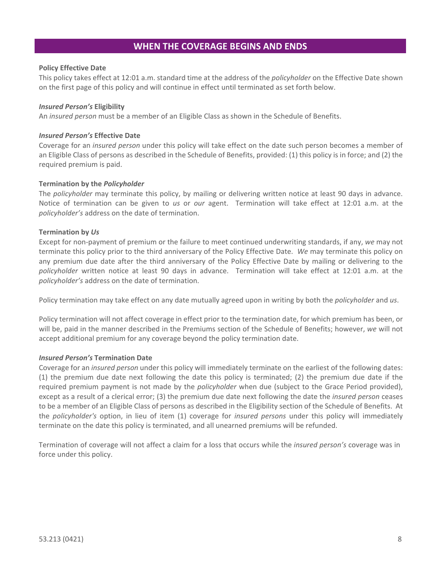### **WHEN THE COVERAGE BEGINS AND ENDS**

#### <span id="page-7-0"></span>**Policy Effective Date**

This policy takes effect at 12:01 a.m. standard time at the address of the *policyholder* on the Effective Date shown on the first page of this policy and will continue in effect until terminated as set forth below.

#### *Insured Person's* **Eligibility**

An *insured person* must be a member of an Eligible Class as shown in the Schedule of Benefits.

#### *Insured Person's* **Effective Date**

Coverage for an *insured person* under this policy will take effect on the date such person becomes a member of an Eligible Class of persons as described in the Schedule of Benefits, provided: (1) this policy is in force; and (2) the required premium is paid.

#### **Termination by the** *Policyholder*

The *policyholder* may terminate this policy, by mailing or delivering written notice at least 90 days in advance. Notice of termination can be given to *us* or *our* agent. Termination will take effect at 12:01 a.m. at the *policyholder's* address on the date of termination.

#### **Termination by** *Us*

Except for non-payment of premium or the failure to meet continued underwriting standards, if any, *we* may not terminate this policy prior to the third anniversary of the Policy Effective Date. *We* may terminate this policy on any premium due date after the third anniversary of the Policy Effective Date by mailing or delivering to the *policyholder* written notice at least 90 days in advance. Termination will take effect at 12:01 a.m. at the *policyholder's* address on the date of termination.

Policy termination may take effect on any date mutually agreed upon in writing by both the *policyholder* and *us*.

Policy termination will not affect coverage in effect prior to the termination date, for which premium has been, or will be, paid in the manner described in the Premiums section of the Schedule of Benefits; however, *we* will not accept additional premium for any coverage beyond the policy termination date.

#### *Insured Person's* **Termination Date**

Coverage for an *insured person* under this policy will immediately terminate on the earliest of the following dates: (1) the premium due date next following the date this policy is terminated; (2) the premium due date if the required premium payment is not made by the *policyholder* when due (subject to the Grace Period provided), except as a result of a clerical error; (3) the premium due date next following the date the *insured person* ceases to be a member of an Eligible Class of persons as described in the Eligibility section of the Schedule of Benefits. At the *policyholder's* option, in lieu of item (1) coverage for *insured persons* under this policy will immediately terminate on the date this policy is terminated, and all unearned premiums will be refunded.

Termination of coverage will not affect a claim for a loss that occurs while the *insured person's* coverage was in force under this policy.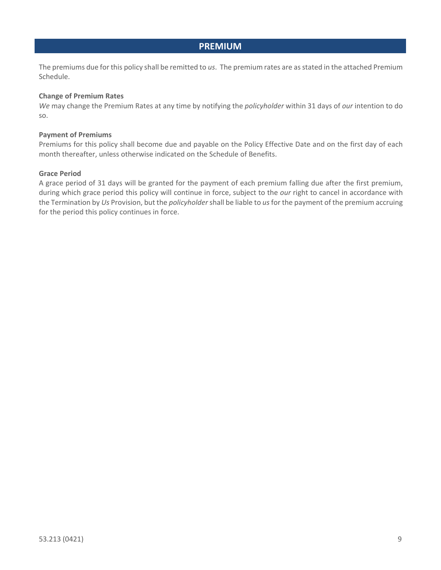### **PREMIUM**

<span id="page-8-0"></span>The premiums due for this policy shall be remitted to *us*. The premium rates are as stated in the attached Premium Schedule.

#### **Change of Premium Rates**

*We* may change the Premium Rates at any time by notifying the *policyholder* within 31 days of *our* intention to do so.

#### **Payment of Premiums**

Premiums for this policy shall become due and payable on the Policy Effective Date and on the first day of each month thereafter, unless otherwise indicated on the Schedule of Benefits.

#### **Grace Period**

A grace period of 31 days will be granted for the payment of each premium falling due after the first premium, during which grace period this policy will continue in force, subject to the *our* right to cancel in accordance with the Termination by *Us* Provision, but the *policyholder*shall be liable to *us*for the payment of the premium accruing for the period this policy continues in force.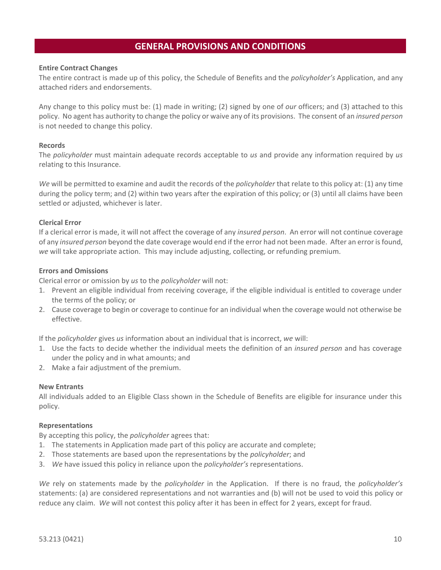## **GENERAL PROVISIONS AND CONDITIONS**

#### <span id="page-9-0"></span>**Entire Contract Changes**

The entire contract is made up of this policy, the Schedule of Benefits and the *policyholder's* Application, and any attached riders and endorsements.

Any change to this policy must be: (1) made in writing; (2) signed by one of *our* officers; and (3) attached to this policy. No agent has authority to change the policy or waive any of its provisions. The consent of an *insured person* is not needed to change this policy.

#### **Records**

The *policyholder* must maintain adequate records acceptable to *us* and provide any information required by *us*  relating to this Insurance.

*We* will be permitted to examine and audit the records of the *policyholder* that relate to this policy at: (1) any time during the policy term; and (2) within two years after the expiration of this policy; or (3) until all claims have been settled or adjusted, whichever is later.

#### **Clerical Error**

If a clerical error is made, it will not affect the coverage of any *insured person*. An error will not continue coverage of any *insured person* beyond the date coverage would end if the error had not been made. After an error is found, *we* will take appropriate action. This may include adjusting, collecting, or refunding premium.

#### **Errors and Omissions**

Clerical error or omission by *us* to the *policyholder* will not:

- 1. Prevent an eligible individual from receiving coverage, if the eligible individual is entitled to coverage under the terms of the policy; or
- 2. Cause coverage to begin or coverage to continue for an individual when the coverage would not otherwise be effective.

If the *policyholder* gives *us* information about an individual that is incorrect, *we* will:

- 1. Use the facts to decide whether the individual meets the definition of an *insured person* and has coverage under the policy and in what amounts; and
- 2. Make a fair adjustment of the premium.

#### **New Entrants**

All individuals added to an Eligible Class shown in the Schedule of Benefits are eligible for insurance under this policy.

#### **Representations**

By accepting this policy, the *policyholder* agrees that:

- 1. The statements in Application made part of this policy are accurate and complete;
- 2. Those statements are based upon the representations by the *policyholder*; and
- 3. *We* have issued this policy in reliance upon the *policyholder's* representations.

*We* rely on statements made by the *policyholder* in the Application. If there is no fraud, the *policyholder's* statements: (a) are considered representations and not warranties and (b) will not be used to void this policy or reduce any claim. *We* will not contest this policy after it has been in effect for 2 years, except for fraud.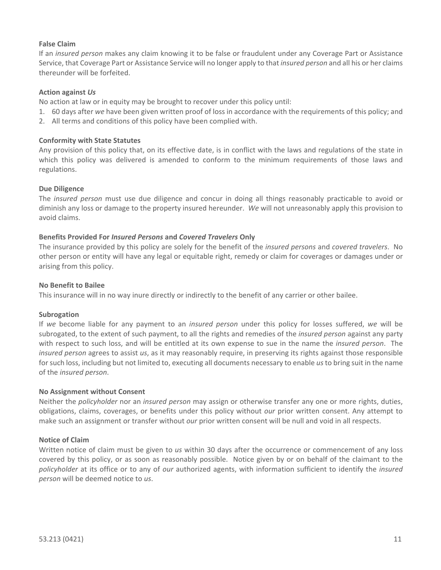#### **False Claim**

If an *insured person* makes any claim knowing it to be false or fraudulent under any Coverage Part or Assistance Service, that Coverage Part or Assistance Service will no longer apply to that *insured person* and all his or her claims thereunder will be forfeited.

#### **Action against** *Us*

No action at law or in equity may be brought to recover under this policy until:

- 1. 60 days after *we* have been given written proof of loss in accordance with the requirements of this policy; and
- 2. All terms and conditions of this policy have been complied with.

#### **Conformity with State Statutes**

Any provision of this policy that, on its effective date, is in conflict with the laws and regulations of the state in which this policy was delivered is amended to conform to the minimum requirements of those laws and regulations.

#### **Due Diligence**

The *insured person* must use due diligence and concur in doing all things reasonably practicable to avoid or diminish any loss or damage to the property insured hereunder. *We* will not unreasonably apply this provision to avoid claims.

#### **Benefits Provided For** *Insured Persons* **and** *Covered Travelers* **Only**

The insurance provided by this policy are solely for the benefit of the *insured persons* and *covered travelers*. No other person or entity will have any legal or equitable right, remedy or claim for coverages or damages under or arising from this policy.

#### **No Benefit to Bailee**

This insurance will in no way inure directly or indirectly to the benefit of any carrier or other bailee.

#### **Subrogation**

If *we* become liable for any payment to an *insured person* under this policy for losses suffered, *we* will be subrogated, to the extent of such payment, to all the rights and remedies of the *insured person* against any party with respect to such loss, and will be entitled at its own expense to sue in the name the *insured person*. The *insured person* agrees to assist *us*, as it may reasonably require, in preserving its rights against those responsible for such loss, including but not limited to, executing all documents necessary to enable *us* to bring suit in the name of the *insured person*.

#### **No Assignment without Consent**

Neither the *policyholder* nor an *insured person* may assign or otherwise transfer any one or more rights, duties, obligations, claims, coverages, or benefits under this policy without *our* prior written consent. Any attempt to make such an assignment or transfer without *our* prior written consent will be null and void in all respects.

#### **Notice of Claim**

Written notice of claim must be given to *us* within 30 days after the occurrence or commencement of any loss covered by this policy, or as soon as reasonably possible. Notice given by or on behalf of the claimant to the *policyholder* at its office or to any of *our* authorized agents, with information sufficient to identify the *insured person* will be deemed notice to *us*.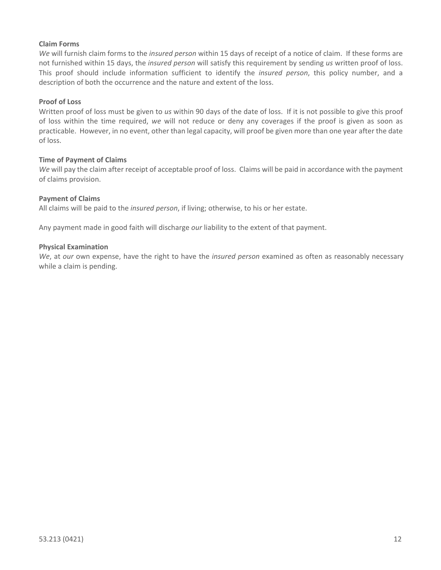#### **Claim Forms**

*We* will furnish claim forms to the *insured person* within 15 days of receipt of a notice of claim. If these forms are not furnished within 15 days, the *insured person* will satisfy this requirement by sending *us* written proof of loss. This proof should include information sufficient to identify the *insured person*, this policy number, and a description of both the occurrence and the nature and extent of the loss.

#### **Proof of Loss**

Written proof of loss must be given to *us* within 90 days of the date of loss. If it is not possible to give this proof of loss within the time required, *we* will not reduce or deny any coverages if the proof is given as soon as practicable. However, in no event, other than legal capacity, will proof be given more than one year after the date of loss.

#### **Time of Payment of Claims**

*We* will pay the claim after receipt of acceptable proof of loss. Claims will be paid in accordance with the payment of claims provision.

### **Payment of Claims**

All claims will be paid to the *insured person*, if living; otherwise, to his or her estate.

Any payment made in good faith will discharge *our* liability to the extent of that payment.

#### **Physical Examination**

*We*, at *our* own expense, have the right to have the *insured person* examined as often as reasonably necessary while a claim is pending.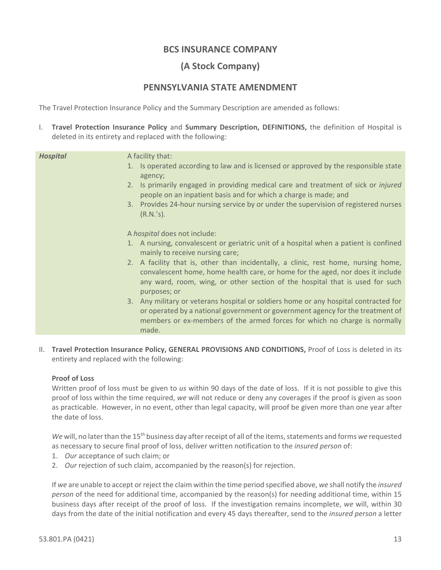## **BCS INSURANCE COMPANY**

## **(A Stock Company)**

## **PENNSYLVANIA STATE AMENDMENT**

The Travel Protection Insurance Policy and the Summary Description are amended as follows:

I. **Travel Protection Insurance Policy** and **Summary Description, DEFINITIONS,** the definition of Hospital is deleted in its entirety and replaced with the following:

| A facility that:<br><b>Hospital</b><br>1. Is operated according to law and is licensed or approved by the responsible state<br>agency;<br>2. Is primarily engaged in providing medical care and treatment of sick or <i>injured</i><br>people on an inpatient basis and for which a charge is made; and<br>3. Provides 24-hour nursing service by or under the supervision of registered nurses<br>$(R.N.'s)$ .<br>A hospital does not include:<br>1. A nursing, convalescent or geriatric unit of a hospital when a patient is confined<br>mainly to receive nursing care;<br>2. A facility that is, other than incidentally, a clinic, rest home, nursing home,<br>convalescent home, home health care, or home for the aged, nor does it include<br>any ward, room, wing, or other section of the hospital that is used for such<br>purposes; or<br>3. Any military or veterans hospital or soldiers home or any hospital contracted for<br>or operated by a national government or government agency for the treatment of<br>members or ex-members of the armed forces for which no charge is normally<br>made. |  |
|---------------------------------------------------------------------------------------------------------------------------------------------------------------------------------------------------------------------------------------------------------------------------------------------------------------------------------------------------------------------------------------------------------------------------------------------------------------------------------------------------------------------------------------------------------------------------------------------------------------------------------------------------------------------------------------------------------------------------------------------------------------------------------------------------------------------------------------------------------------------------------------------------------------------------------------------------------------------------------------------------------------------------------------------------------------------------------------------------------------------|--|
|                                                                                                                                                                                                                                                                                                                                                                                                                                                                                                                                                                                                                                                                                                                                                                                                                                                                                                                                                                                                                                                                                                                     |  |
|                                                                                                                                                                                                                                                                                                                                                                                                                                                                                                                                                                                                                                                                                                                                                                                                                                                                                                                                                                                                                                                                                                                     |  |

II. **Travel Protection Insurance Policy, GENERAL PROVISIONS AND CONDITIONS,** Proof of Loss is deleted in its entirety and replaced with the following:

#### **Proof of Loss**

Written proof of loss must be given to *us* within 90 days of the date of loss. If it is not possible to give this proof of loss within the time required, *we* will not reduce or deny any coverages if the proof is given as soon as practicable. However, in no event, other than legal capacity, will proof be given more than one year after the date of loss.

*We* will, no later than the 15th business day after receipt of all of the items, statements and forms *we* requested as necessary to secure final proof of loss, deliver written notification to the *insured person* of:

- 1. *Our* acceptance of such claim; or
- 2. *Our* rejection of such claim, accompanied by the reason(s) for rejection.

If *we* are unable to accept or reject the claim within the time period specified above, *we* shall notify the *insured person* of the need for additional time, accompanied by the reason(s) for needing additional time, within 15 business days after receipt of the proof of loss. If the investigation remains incomplete, *we* will, within 30 days from the date of the initial notification and every 45 days thereafter, send to the *insured person* a letter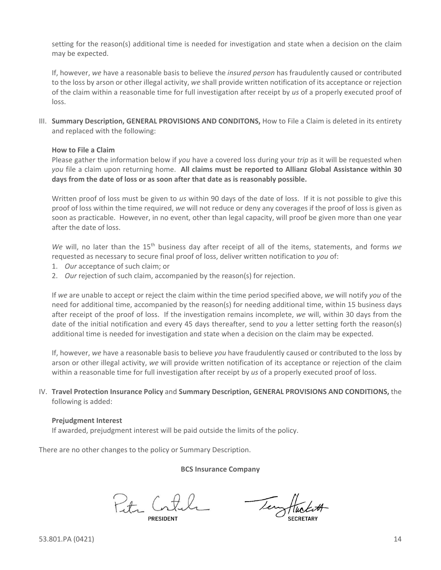setting for the reason(s) additional time is needed for investigation and state when a decision on the claim may be expected.

If, however, *we* have a reasonable basis to believe the *insured person* has fraudulently caused or contributed to the loss by arson or other illegal activity, *we* shall provide written notification of its acceptance or rejection of the claim within a reasonable time for full investigation after receipt by *us* of a properly executed proof of loss.

III. **Summary Description, GENERAL PROVISIONS AND CONDITONS,** How to File a Claim is deleted in its entirety and replaced with the following:

#### **How to File a Claim**

Please gather the information below if *you* have a covered loss during your *trip* as it will be requested when *you* file a claim upon returning home. **All claims must be reported to Allianz Global Assistance within 30 days from the date of loss or as soon after that date as is reasonably possible.**

Written proof of loss must be given to *us* within 90 days of the date of loss. If it is not possible to give this proof of loss within the time required, *we* will not reduce or deny any coverages if the proof of loss is given as soon as practicable. However, in no event, other than legal capacity, will proof be given more than one year after the date of loss.

*We* will, no later than the 15<sup>th</sup> business day after receipt of all of the items, statements, and forms *we* requested as necessary to secure final proof of loss, deliver written notification to *you* of:

- 1. *Our* acceptance of such claim; or
- 2. *Our* rejection of such claim, accompanied by the reason(s) for rejection.

If *we* are unable to accept or reject the claim within the time period specified above, *we* will notify *you* of the need for additional time, accompanied by the reason(s) for needing additional time, within 15 business days after receipt of the proof of loss. If the investigation remains incomplete, *we* will, within 30 days from the date of the initial notification and every 45 days thereafter, send to *you* a letter setting forth the reason(s) additional time is needed for investigation and state when a decision on the claim may be expected.

If, however, *we* have a reasonable basis to believe *you* have fraudulently caused or contributed to the loss by arson or other illegal activity, *we* will provide written notification of its acceptance or rejection of the claim within a reasonable time for full investigation after receipt by *us* of a properly executed proof of loss.

IV. **Travel Protection Insurance Policy** and **Summary Description, GENERAL PROVISIONS AND CONDITIONS,** the following is added:

#### **Prejudgment Interest**

If awarded, prejudgment interest will be paid outside the limits of the policy.

There are no other changes to the policy or Summary Description.

**BCS Insurance Company**

Petr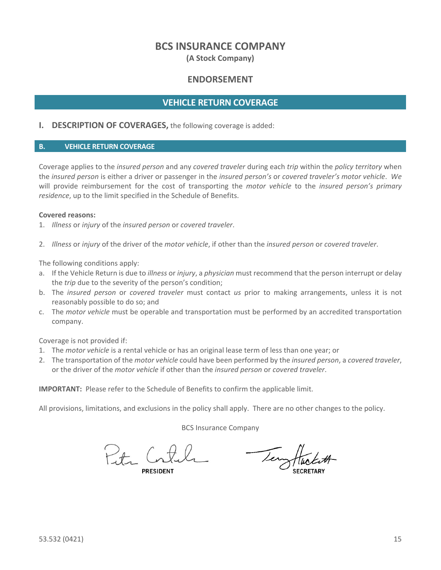## **BCS INSURANCE COMPANY**

**(A Stock Company)**

## **ENDORSEMENT**

### **VEHICLE RETURN COVERAGE**

#### **I. DESCRIPTION OF COVERAGES,** the following coverage is added:

#### **B. VEHICLE RETURN COVERAGE**

Coverage applies to the *insured person* and any *covered traveler* during each *trip* within the *policy territory* when the *insured person* is either a driver or passenger in the *insured person's* or *covered traveler's motor vehicle*. *We*  will provide reimbursement for the cost of transporting the *motor vehicle* to the *insured person's primary residence*, up to the limit specified in the Schedule of Benefits.

#### **Covered reasons:**

1. *Illness* or *injury* of the *insured person* or *covered traveler*.

2. *Illness* or *injury* of the driver of the *motor vehicle*, if other than the *insured person* or *covered traveler*.

The following conditions apply:

- a. If the Vehicle Return is due to *illness* or *injury*, a *physician* must recommend that the person interrupt or delay the *trip* due to the severity of the person's condition;
- b. The *insured person* or *covered traveler* must contact *us* prior to making arrangements, unless it is not reasonably possible to do so; and
- c. The *motor vehicle* must be operable and transportation must be performed by an accredited transportation company.

Coverage is not provided if:

- 1. The *motor vehicle* is a rental vehicle or has an original lease term of less than one year; or
- 2. The transportation of the *motor vehicle* could have been performed by the *insured person*, a *covered traveler*, or the driver of the *motor vehicle* if other than the *insured person* or *covered traveler*.

**IMPORTANT:** Please refer to the Schedule of Benefits to confirm the applicable limit.

All provisions, limitations, and exclusions in the policy shall apply. There are no other changes to the policy.

BCS Insurance Company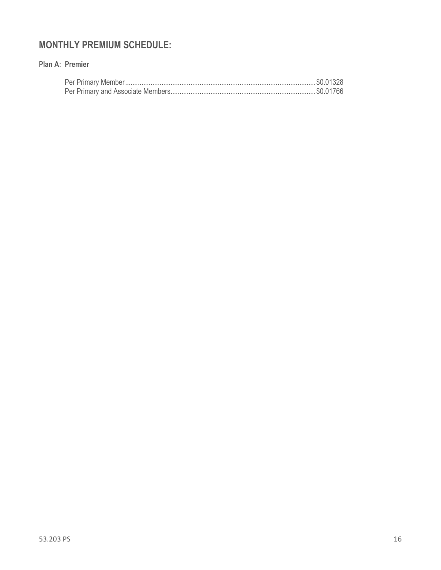# **MONTHLY PREMIUM SCHEDULE:**

### **Plan A: Premier**